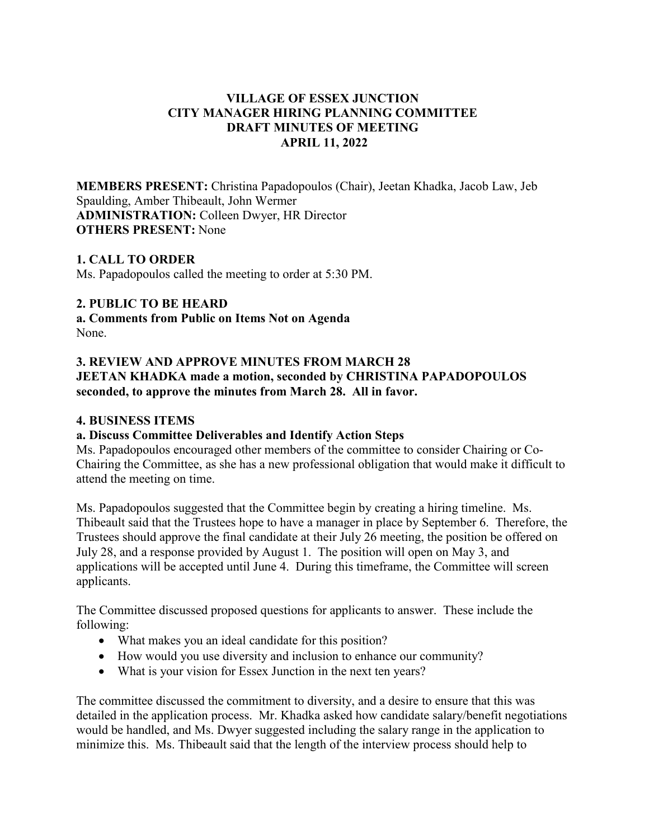# **VILLAGE OF ESSEX JUNCTION CITY MANAGER HIRING PLANNING COMMITTEE DRAFT MINUTES OF MEETING APRIL 11, 2022**

**MEMBERS PRESENT:** Christina Papadopoulos (Chair), Jeetan Khadka, Jacob Law, Jeb Spaulding, Amber Thibeault, John Wermer **ADMINISTRATION:** Colleen Dwyer, HR Director **OTHERS PRESENT:** None

## **1. CALL TO ORDER**

Ms. Papadopoulos called the meeting to order at 5:30 PM.

### **2. PUBLIC TO BE HEARD**

**a. Comments from Public on Items Not on Agenda**  None.

# **3. REVIEW AND APPROVE MINUTES FROM MARCH 28 JEETAN KHADKA made a motion, seconded by CHRISTINA PAPADOPOULOS seconded, to approve the minutes from March 28. All in favor.**

#### **4. BUSINESS ITEMS**

### **a. Discuss Committee Deliverables and Identify Action Steps**

Ms. Papadopoulos encouraged other members of the committee to consider Chairing or Co-Chairing the Committee, as she has a new professional obligation that would make it difficult to attend the meeting on time.

Ms. Papadopoulos suggested that the Committee begin by creating a hiring timeline. Ms. Thibeault said that the Trustees hope to have a manager in place by September 6. Therefore, the Trustees should approve the final candidate at their July 26 meeting, the position be offered on July 28, and a response provided by August 1. The position will open on May 3, and applications will be accepted until June 4. During this timeframe, the Committee will screen applicants.

The Committee discussed proposed questions for applicants to answer. These include the following:

- What makes you an ideal candidate for this position?
- How would you use diversity and inclusion to enhance our community?
- What is your vision for Essex Junction in the next ten years?

The committee discussed the commitment to diversity, and a desire to ensure that this was detailed in the application process. Mr. Khadka asked how candidate salary/benefit negotiations would be handled, and Ms. Dwyer suggested including the salary range in the application to minimize this. Ms. Thibeault said that the length of the interview process should help to